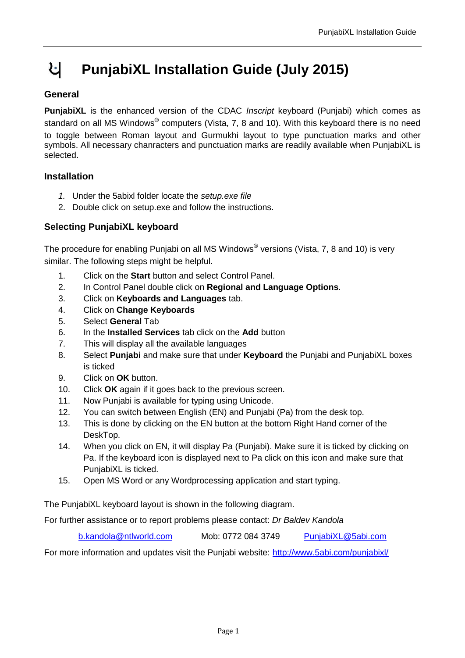## પ **PunjabiXL Installation Guide (July 2015)**

## **General**

**PunjabiXL** is the enhanced version of the CDAC *Inscript* keyboard (Punjabi) which comes as standard on all MS Windows® computers (Vista, 7, 8 and 10). With this keyboard there is no need to toggle between Roman layout and Gurmukhi layout to type punctuation marks and other symbols. All necessary chanracters and punctuation marks are readily available when PunjabiXL is selected.

## **Installation**

- *1.* Under the 5abixl folder locate the *setup.exe file*
- 2. Double click on setup.exe and follow the instructions.

## **Selecting PunjabiXL keyboard**

The procedure for enabling Punjabi on all MS Windows® versions (Vista, 7, 8 and 10) is very similar. The following steps might be helpful.

- 1. Click on the **Start** button and select Control Panel.
- 2. In Control Panel double click on **Regional and Language Options**.
- 3. Click on **Keyboards and Languages** tab.
- 4. Click on **Change Keyboards**
- 5. Select **General** Tab
- 6. In the **Installed Services** tab click on the **Add** button
- 7. This will display all the available languages
- 8. Select **Punjabi** and make sure that under **Keyboard** the Punjabi and PunjabiXL boxes is ticked
- 9. Click on **OK** button.
- 10. Click **OK** again if it goes back to the previous screen.
- 11. Now Punjabi is available for typing using Unicode.
- 12. You can switch between English (EN) and Punjabi (Pa) from the desk top.
- 13. This is done by clicking on the EN button at the bottom Right Hand corner of the DeskTop.
- 14. When you click on EN, it will display Pa (Punjabi). Make sure it is ticked by clicking on Pa. If the keyboard icon is displayed next to Pa click on this icon and make sure that PunjabiXL is ticked.
- 15. Open MS Word or any Wordprocessing application and start typing.

The PunjabiXL keyboard layout is shown in the following diagram.

For further assistance or to report problems please contact: *Dr Baldev Kandola*

[b.kandola@ntlworld.com](mailto:b.kandola@ntlworld.com) Mob: 0772 084 3749 [PunjabiXL@5abi.com](mailto:PunjabiXL@5abi.com)

For more information and updates visit the Punjabi website:<http://www.5abi.com/punjabixl/>